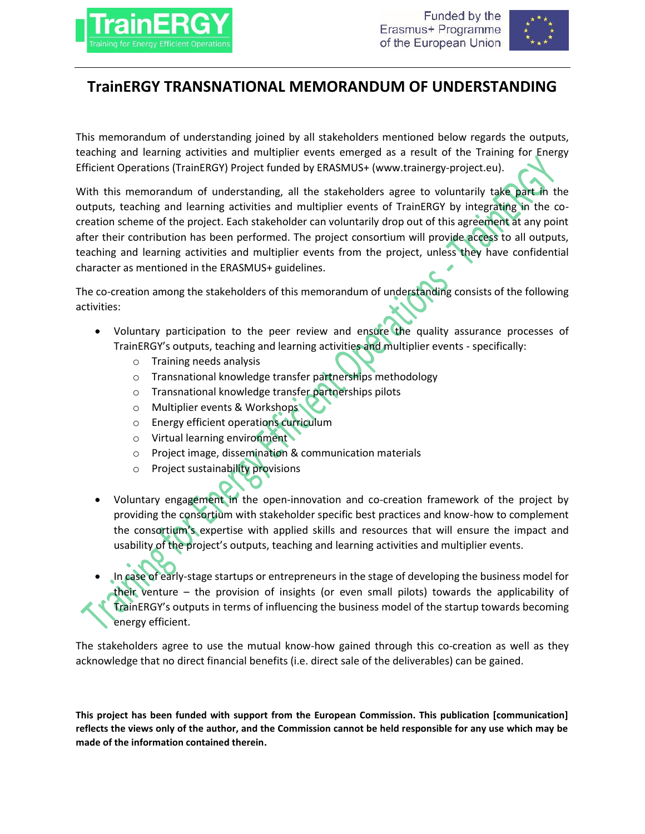



## **TrainERGY TRANSNATIONAL MEMORANDUM OF UNDERSTANDING**

This memorandum of understanding joined by all stakeholders mentioned below regards the outputs, teaching and learning activities and multiplier events emerged as a result of the Training for Energy Efficient Operations (TrainERGY) Project funded by ERASMUS+ (www.trainergy-project.eu).

With this memorandum of understanding, all the stakeholders agree to voluntarily take part in the outputs, teaching and learning activities and multiplier events of TrainERGY by integrating in the cocreation scheme of the project. Each stakeholder can voluntarily drop out of this agreement at any point after their contribution has been performed. The project consortium will provide access to all outputs, teaching and learning activities and multiplier events from the project, unless they have confidential character as mentioned in the ERASMUS+ guidelines.

The co-creation among the stakeholders of this memorandum of understanding consists of the following activities:

- Voluntary participation to the peer review and ensure the quality assurance processes of TrainERGY's outputs, teaching and learning activities and multiplier events - specifically:
	- o Training needs analysis
	- o Transnational knowledge transfer partnerships methodology
	- o Transnational knowledge transfer partnerships pilots
	- o Multiplier events & Workshops
	- o Energy efficient operations curriculum
	- o Virtual learning environment
	- o Project image, dissemination & communication materials
	- o Project sustainability provisions
- Voluntary engagement in the open-innovation and co-creation framework of the project by providing the consortium with stakeholder specific best practices and know-how to complement the consortium's expertise with applied skills and resources that will ensure the impact and usability of the project's outputs, teaching and learning activities and multiplier events.
- In case of early-stage startups or entrepreneurs in the stage of developing the business model for their venture – the provision of insights (or even small pilots) towards the applicability of TrainERGY's outputs in terms of influencing the business model of the startup towards becoming energy efficient.

The stakeholders agree to use the mutual know-how gained through this co-creation as well as they acknowledge that no direct financial benefits (i.e. direct sale of the deliverables) can be gained.

**This project has been funded with support from the European Commission. This publication [communication] reflects the views only of the author, and the Commission cannot be held responsible for any use which may be made of the information contained therein.**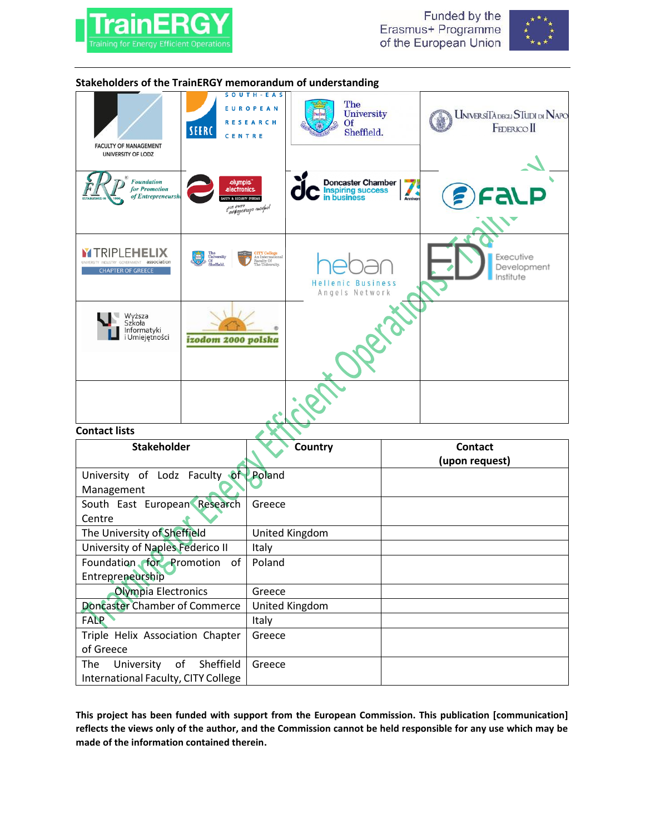



| Stakeholders of the TrainERGY memorandum of understanding                              |                                       |                                                                          |                                                                |  |                                                      |
|----------------------------------------------------------------------------------------|---------------------------------------|--------------------------------------------------------------------------|----------------------------------------------------------------|--|------------------------------------------------------|
| <b>FACULTY OF MANAGEMENT</b><br>UNIVERSITY OF LODZ                                     | SEERC<br>CENTRE                       | SOUTH-EAS<br>EUROPEAN<br><b>RESEARCH</b>                                 | The<br>University<br><b>Of</b><br>Sheffield.                   |  | UniversiTà degli STudi di Napo<br><b>FEDERICO</b> II |
|                                                                                        |                                       |                                                                          |                                                                |  |                                                      |
| <b>Foundation</b><br>for Promotion<br>of Entrepreneursh<br><b>ESTABLISHED IN</b>       | olympia."<br>electronics.             | μα έναν<br>"ασφαρεστερο πιοσμο!                                          | <b>Doncaster Chamber<br/>Inspiring success<br/>in business</b> |  | <b>ALP</b>                                           |
| <b>Y TRIPLEHELIX</b><br>association<br>INDUSTRY GOVERNMENT<br><b>CHAPTER OF GREECE</b> | The<br>University<br>Of<br>Sheffield. | <b>CITY College</b><br>An International<br>Faculty Of<br>The University. | Hellenic Business<br>Angels Network                            |  | Executive<br>Development<br>Institute                |
| Wyższa<br>Szkoła<br>Informatyki<br>i Umiejętności                                      | izodom 2000 polska                    |                                                                          |                                                                |  |                                                      |
|                                                                                        |                                       |                                                                          |                                                                |  |                                                      |
| <b>Contact lists</b>                                                                   |                                       |                                                                          |                                                                |  |                                                      |
| <b>Stakeholder</b>                                                                     |                                       |                                                                          | Country                                                        |  | <b>Contact</b>                                       |
|                                                                                        |                                       |                                                                          |                                                                |  | (upon request)                                       |
| University of Lodz Faculty of                                                          |                                       | Poland                                                                   |                                                                |  |                                                      |
| Management                                                                             |                                       |                                                                          |                                                                |  |                                                      |
| South East European Research                                                           |                                       | Greece                                                                   |                                                                |  |                                                      |
| Centre                                                                                 |                                       |                                                                          |                                                                |  |                                                      |
| The University of Sheffield                                                            |                                       | United Kingdom                                                           |                                                                |  |                                                      |
| University of Naples Federico II                                                       |                                       | Italy                                                                    |                                                                |  |                                                      |
| Foundation for Promotion of                                                            |                                       | Poland                                                                   |                                                                |  |                                                      |
| Entrepreneurship                                                                       |                                       | Greece                                                                   |                                                                |  |                                                      |
| <b>Olympia Electronics</b><br><b>Doncaster Chamber of Commerce</b>                     |                                       | United Kingdom                                                           |                                                                |  |                                                      |
| <b>FALP</b>                                                                            |                                       |                                                                          |                                                                |  |                                                      |
| Triple Helix Association Chapter                                                       |                                       | Italy<br>Greece                                                          |                                                                |  |                                                      |
| of Greece                                                                              |                                       |                                                                          |                                                                |  |                                                      |
| University<br>The<br>of<br>Sheffield                                                   |                                       | Greece                                                                   |                                                                |  |                                                      |
| International Faculty, CITY College                                                    |                                       |                                                                          |                                                                |  |                                                      |

**This project has been funded with support from the European Commission. This publication [communication] reflects the views only of the author, and the Commission cannot be held responsible for any use which may be made of the information contained therein.**